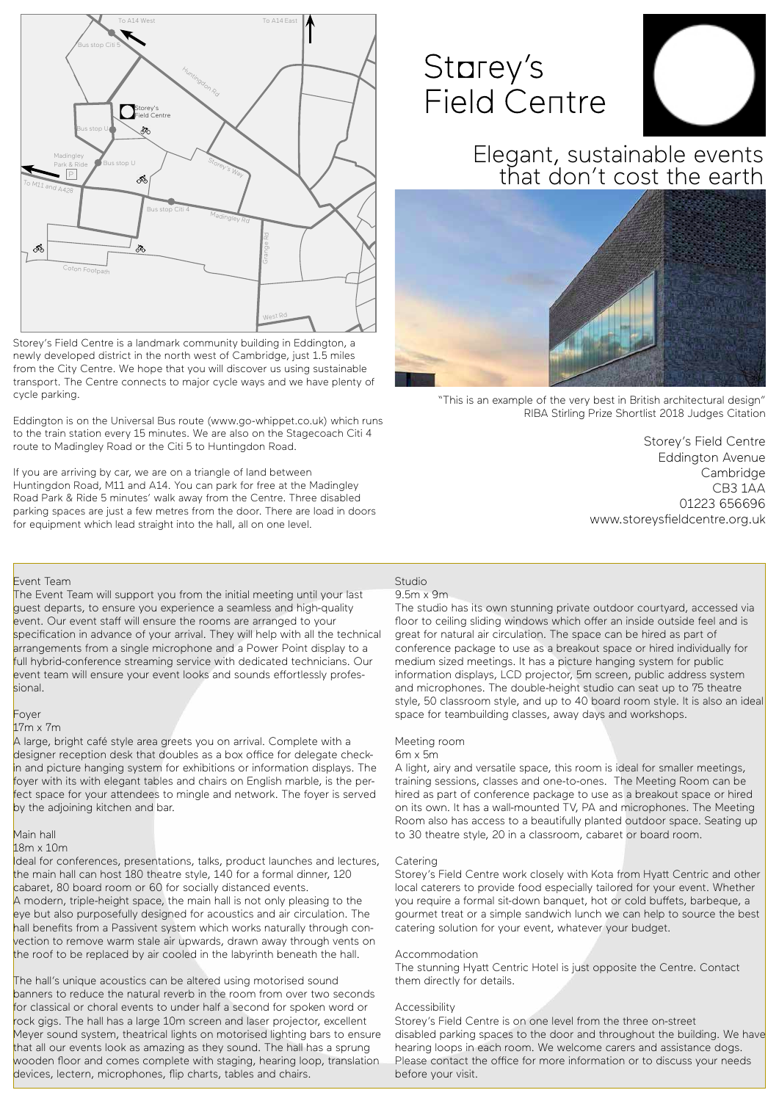### Studio

#### 9.5m x 9m

The studio has its own stunning private outdoor courtyard, accessed via floor to ceiling sliding windows which offer an inside outside feel and is great for natural air circulation. The space can be hired as part of conference package to use as a breakout space or hired individually for medium sized meetings. It has a picture hanging system for public information displays, LCD projector, 5m screen, public address system and microphones. The double-height studio can seat up to 75 theatre style, 50 classroom style, and up to 40 board room style. It is also an ideal space for teambuilding classes, away days and workshops.

#### Meeting room

#### 6m x 5m

A light, airy and versatile space, this room is ideal for smaller meetings, training sessions, classes and one-to-ones. The Meeting Room can be hired as part of conference package to use as a breakout space or hired on its own. It has a wall-mounted TV, PA and microphones. The Meeting Room also has access to a beautifully planted outdoor space. Seating up to 30 theatre style, 20 in a classroom, cabaret or board room.

#### Catering

Storey's Field Centre work closely with Kota from Hyatt Centric and other local caterers to provide food especially tailored for your event. Whether you require a formal sit-down banquet, hot or cold buffets, barbeque, a gourmet treat or a simple sandwich lunch we can help to source the best catering solution for your event, whatever your budget.

#### Accommodation

The stunning Hyatt Centric Hotel is just opposite the Centre. Contact them directly for details.

#### Accessibility

Storey's Field Centre is on one level from the three on-street disabled parking spaces to the door and throughout the building. We have hearing loops in each room. We welcome carers and assistance dogs. Please contact the office for more information or to discuss your needs before your visit.

The Event Team will support you from the initial meeting until your last guest departs, to ensure you experience a seamless and high-quality event. Our event staff will ensure the rooms are arranged to your specification in advance of your arrival. They will help with all the technical arrangements from a single microphone and a Power Point display to a full hybrid-conference streaming service with dedicated technicians. Our event team will ensure your event looks and sounds effortlessly professional.

Storey's Field Centre Eddington Avenue Cambridge CB3 1AA 01223 656696 www.storeysfieldcentre.org.uk

Ideal for conferences, presentations, talks, product launches and lectures, the main hall can host 180 theatre style, 140 for a formal dinner, 120 cabaret, 80 board room or 60 for socially distanced events. A modern, triple-height space, the main hall is not only pleasing to the eye but also purposefully designed for acoustics and air circulation. The hall benefits from a Passivent system which works naturally through convection to remove warm stale air upwards, drawn away through vents on the roof to be replaced by air cooled in the labyrinth beneath the hall.

The hall's unique acoustics can be altered using motorised sound banners to reduce the natural reverb in the room from over two seconds for classical or choral events to under half a second for spoken word or rock gigs. The hall has a large 10m screen and laser projector, excellent Meyer sound system, theatrical lights on motorised lighting bars to ensure that all our events look as amazing as they sound. The hall has a sprung wooden floor and comes complete with staging, hearing loop, translation devices, lectern, microphones, flip charts, tables and chairs.

Storey's Field Centre is a landmark community building in Eddington, a newly developed district in the north west of Cambridge, just 1.5 miles from the City Centre. We hope that you will discover us using sustainable transport. The Centre connects to major cycle ways and we have plenty of cycle parking.

Eddington is on the Universal Bus route (www.go-whippet.co.uk) which runs to the train station every 15 minutes. We are also on the Stagecoach Citi 4 route to Madingley Road or the Citi 5 to Huntingdon Road.

If you are arriving by car, we are on a triangle of land between Huntingdon Road, M11 and A14. You can park for free at the Madingley Road Park & Ride 5 minutes' walk away from the Centre. Three disabled parking spaces are just a few metres from the door. There are load in doors for equipment which lead straight into the hall, all on one level.

# Starey's **Field Centre**





#### Event Team

#### Foyer

#### 17m x 7m

A large, bright café style area greets you on arrival. Complete with a designer reception desk that doubles as a box office for delegate checkin and picture hanging system for exhibitions or information displays. The foyer with its with elegant tables and chairs on English marble, is the perfect space for your attendees to mingle and network. The foyer is served by the adjoining kitchen and bar.

#### Main hall 18m x 10m

Elegant, sustainable events that don't cost the earth



"This is an example of the very best in British architectural design" RIBA Stirling Prize Shortlist 2018 Judges Citation